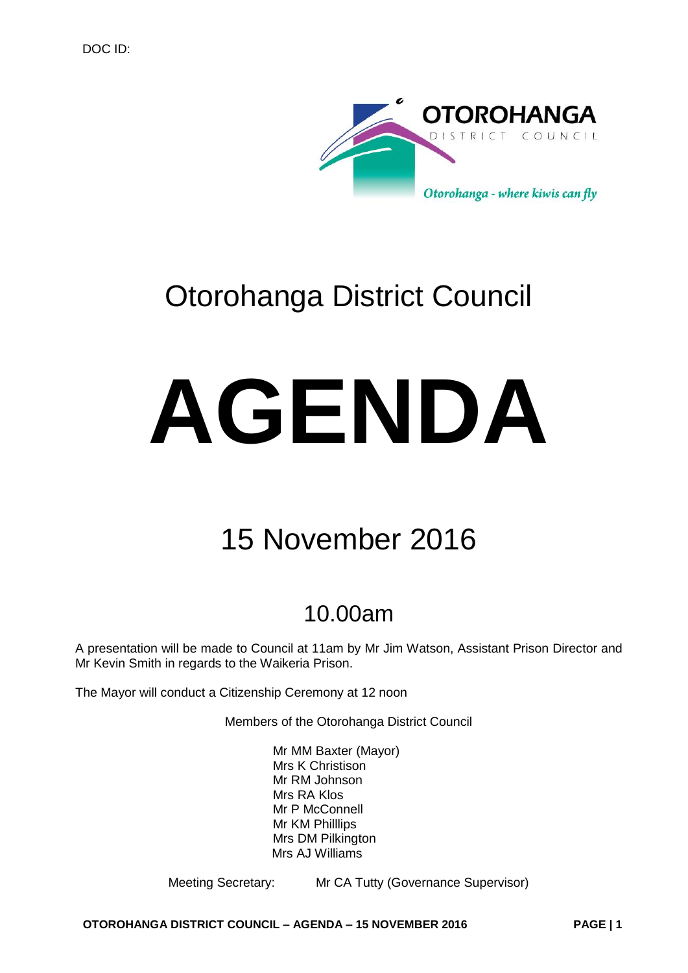

# Otorohanga District Council

# **AGENDA**

# 15 November 2016

# 10.00am

A presentation will be made to Council at 11am by Mr Jim Watson, Assistant Prison Director and Mr Kevin Smith in regards to the Waikeria Prison.

The Mayor will conduct a Citizenship Ceremony at 12 noon

Members of the Otorohanga District Council

Mr MM Baxter (Mayor) Mrs K Christison Mr RM Johnson Mrs RA Klos Mr P McConnell Mr KM Philllips Mrs DM Pilkington Mrs AJ Williams

Meeting Secretary: Mr CA Tutty (Governance Supervisor)

**OTOROHANGA DISTRICT COUNCIL – AGENDA – 15 NOVEMBER 2016 PAGE | 1**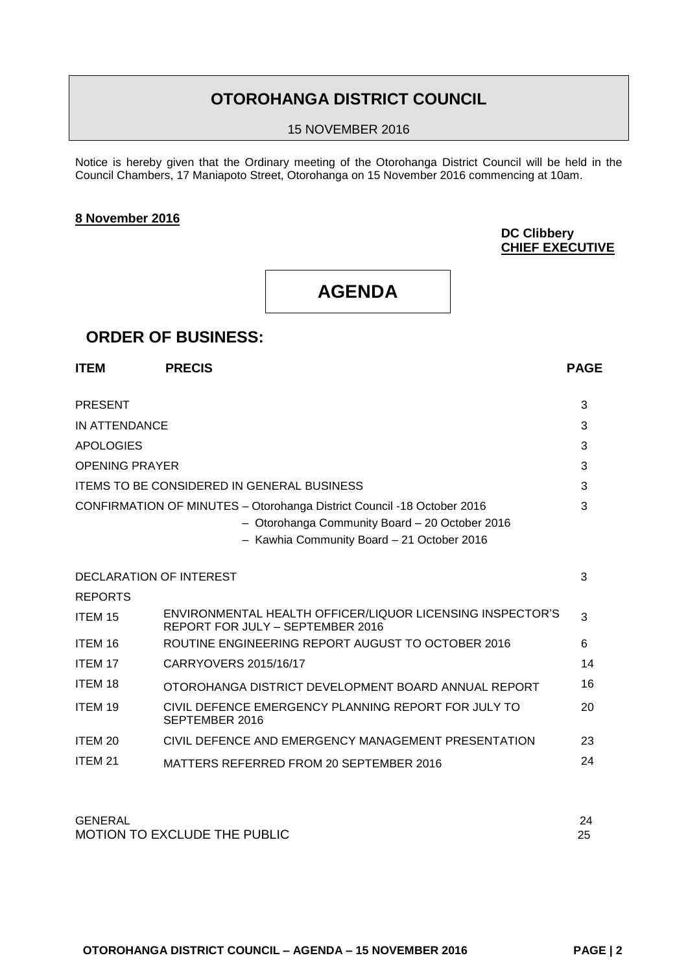# **OTOROHANGA DISTRICT COUNCIL**

15 NOVEMBER 2016

Notice is hereby given that the Ordinary meeting of the Otorohanga District Council will be held in the Council Chambers, 17 Maniapoto Street, Otorohanga on 15 November 2016 commencing at 10am.

#### **8 November 2016**

# **DC Clibbery CHIEF EXECUTIVE**

# **AGENDA**

# **ORDER OF BUSINESS:**

| <b>ITEM</b>             | <b>PRECIS</b>                                                                                                                                                          | <b>PAGE</b> |
|-------------------------|------------------------------------------------------------------------------------------------------------------------------------------------------------------------|-------------|
| <b>PRESENT</b>          |                                                                                                                                                                        | 3           |
| IN ATTENDANCE           |                                                                                                                                                                        | 3           |
| <b>APOLOGIES</b>        |                                                                                                                                                                        | 3           |
| <b>OPENING PRAYER</b>   |                                                                                                                                                                        | 3           |
|                         | <b>ITEMS TO BE CONSIDERED IN GENERAL BUSINESS</b>                                                                                                                      | 3           |
|                         | CONFIRMATION OF MINUTES - Otorohanga District Council -18 October 2016<br>- Otorohanga Community Board - 20 October 2016<br>- Kawhia Community Board - 21 October 2016 | 3           |
| DECLARATION OF INTEREST |                                                                                                                                                                        | 3           |
| <b>REPORTS</b>          |                                                                                                                                                                        |             |
| ITEM 15                 | ENVIRONMENTAL HEALTH OFFICER/LIQUOR LICENSING INSPECTOR'S<br>REPORT FOR JULY - SEPTEMBER 2016                                                                          | 3           |
| ITEM 16                 | ROUTINE ENGINEERING REPORT AUGUST TO OCTOBER 2016                                                                                                                      | 6           |
| ITEM 17                 | CARRYOVERS 2015/16/17                                                                                                                                                  | 14          |
| <b>ITEM 18</b>          | OTOROHANGA DISTRICT DEVELOPMENT BOARD ANNUAL REPORT                                                                                                                    | 16          |
| ITEM 19                 | CIVIL DEFENCE EMERGENCY PLANNING REPORT FOR JULY TO<br>SEPTEMBER 2016                                                                                                  | 20          |
| ITEM 20                 | CIVIL DEFENCE AND EMERGENCY MANAGEMENT PRESENTATION                                                                                                                    | 23          |
| ITEM <sub>21</sub>      | MATTERS REFERRED FROM 20 SEPTEMBER 2016                                                                                                                                | 24          |

| <b>GENERAL</b>                      |  |
|-------------------------------------|--|
| <b>MOTION TO EXCLUDE THE PUBLIC</b> |  |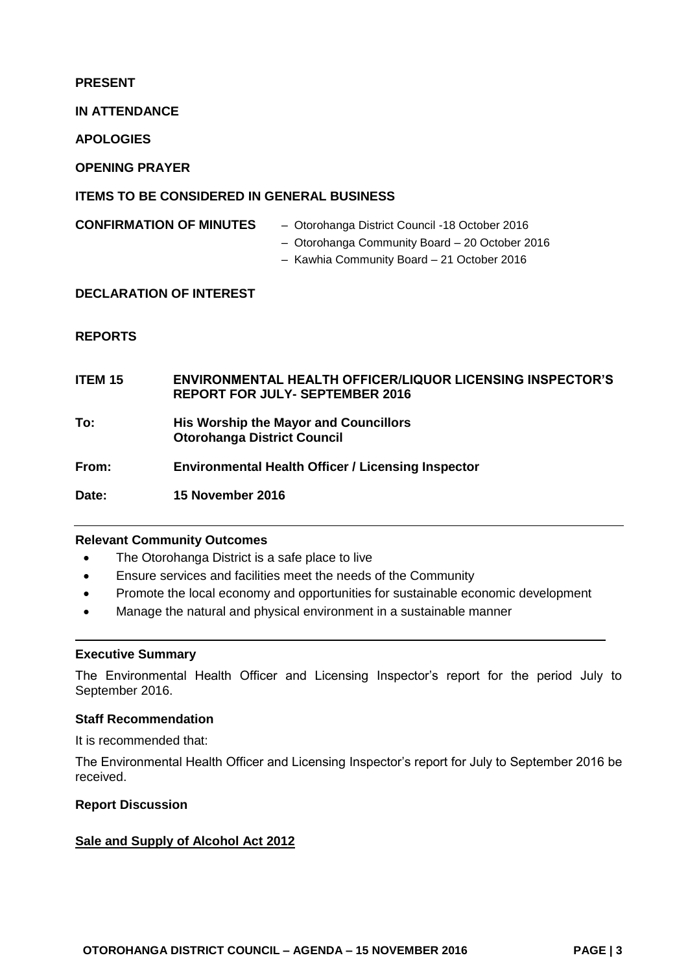# **PRESENT**

**IN ATTENDANCE**

**APOLOGIES**

**OPENING PRAYER**

# **ITEMS TO BE CONSIDERED IN GENERAL BUSINESS**

- **CONFIRMATION OF MINUTES** Otorohanga District Council -18 October 2016
	- Otorohanga Community Board 20 October 2016
	- Kawhia Community Board 21 October 2016

# **DECLARATION OF INTEREST**

# **REPORTS**

| <b>ITEM 15</b> | <b>ENVIRONMENTAL HEALTH OFFICER/LIQUOR LICENSING INSPECTOR'S</b><br><b>REPORT FOR JULY- SEPTEMBER 2016</b> |
|----------------|------------------------------------------------------------------------------------------------------------|
| To:            | His Worship the Mayor and Councillors<br><b>Otorohanga District Council</b>                                |
| From:          | <b>Environmental Health Officer / Licensing Inspector</b>                                                  |
| Date:          | 15 November 2016                                                                                           |

# **Relevant Community Outcomes**

- The Otorohanga District is a safe place to live
- Ensure services and facilities meet the needs of the Community
- Promote the local economy and opportunities for sustainable economic development
- Manage the natural and physical environment in a sustainable manner

#### **Executive Summary**

The Environmental Health Officer and Licensing Inspector's report for the period July to September 2016.

#### **Staff Recommendation**

It is recommended that:

The Environmental Health Officer and Licensing Inspector's report for July to September 2016 be received.

#### **Report Discussion**

# **Sale and Supply of Alcohol Act 2012**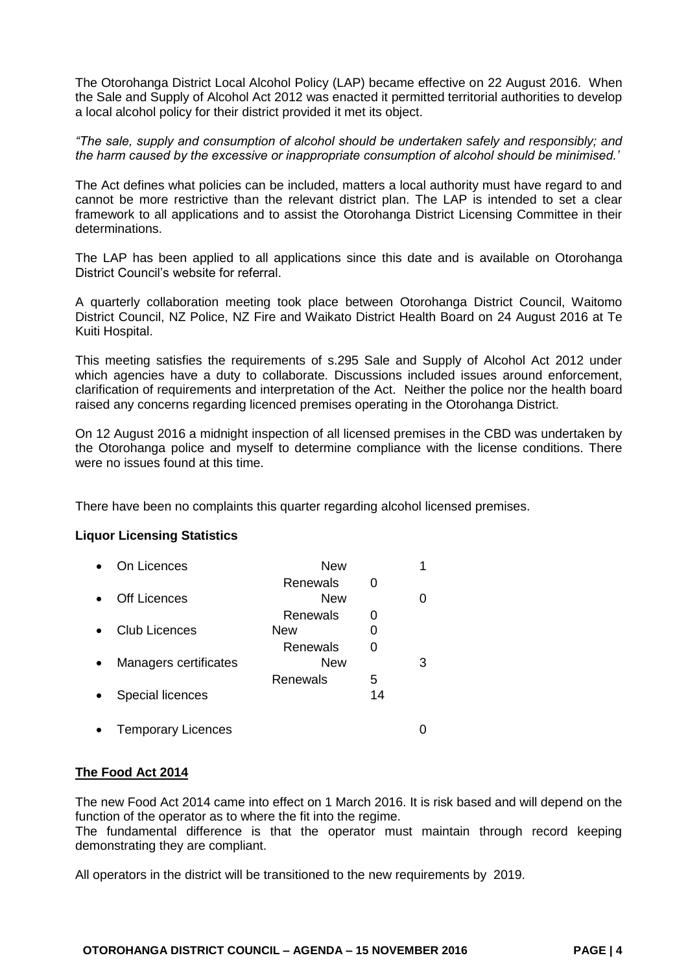The Otorohanga District Local Alcohol Policy (LAP) became effective on 22 August 2016. When the Sale and Supply of Alcohol Act 2012 was enacted it permitted territorial authorities to develop a local alcohol policy for their district provided it met its object.

*"The sale, supply and consumption of alcohol should be undertaken safely and responsibly; and the harm caused by the excessive or inappropriate consumption of alcohol should be minimised.'*

The Act defines what policies can be included, matters a local authority must have regard to and cannot be more restrictive than the relevant district plan. The LAP is intended to set a clear framework to all applications and to assist the Otorohanga District Licensing Committee in their determinations.

The LAP has been applied to all applications since this date and is available on Otorohanga District Council's website for referral.

A quarterly collaboration meeting took place between Otorohanga District Council, Waitomo District Council, NZ Police, NZ Fire and Waikato District Health Board on 24 August 2016 at Te Kuiti Hospital.

This meeting satisfies the requirements of s.295 Sale and Supply of Alcohol Act 2012 under which agencies have a duty to collaborate. Discussions included issues around enforcement, clarification of requirements and interpretation of the Act. Neither the police nor the health board raised any concerns regarding licenced premises operating in the Otorohanga District.

On 12 August 2016 a midnight inspection of all licensed premises in the CBD was undertaken by the Otorohanga police and myself to determine compliance with the license conditions. There were no issues found at this time.

There have been no complaints this quarter regarding alcohol licensed premises.

# **Liquor Licensing Statistics**

| On Licences               | <b>New</b>             |         |   |
|---------------------------|------------------------|---------|---|
| <b>Off Licences</b>       | Renewals<br>New        |         |   |
|                           | Renewals               |         |   |
| <b>Club Licences</b>      | New                    |         |   |
| Managers certificates     | Renewals<br><b>New</b> | O       | 3 |
| Special licences          | Renewals               | 5<br>14 |   |
| <b>Temporary Licences</b> |                        |         |   |

# **The Food Act 2014**

The new Food Act 2014 came into effect on 1 March 2016. It is risk based and will depend on the function of the operator as to where the fit into the regime.

The fundamental difference is that the operator must maintain through record keeping demonstrating they are compliant.

All operators in the district will be transitioned to the new requirements by 2019.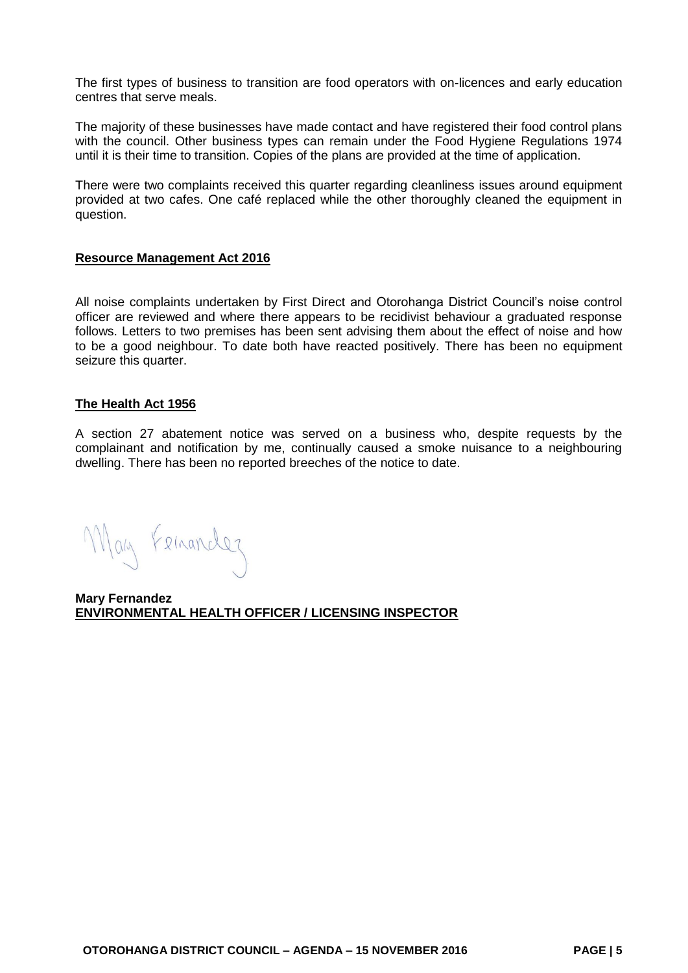The first types of business to transition are food operators with on-licences and early education centres that serve meals.

The majority of these businesses have made contact and have registered their food control plans with the council. Other business types can remain under the Food Hygiene Regulations 1974 until it is their time to transition. Copies of the plans are provided at the time of application.

There were two complaints received this quarter regarding cleanliness issues around equipment provided at two cafes. One café replaced while the other thoroughly cleaned the equipment in question.

#### **Resource Management Act 2016**

All noise complaints undertaken by First Direct and Otorohanga District Council's noise control officer are reviewed and where there appears to be recidivist behaviour a graduated response follows. Letters to two premises has been sent advising them about the effect of noise and how to be a good neighbour. To date both have reacted positively. There has been no equipment seizure this quarter.

#### **The Health Act 1956**

A section 27 abatement notice was served on a business who, despite requests by the complainant and notification by me, continually caused a smoke nuisance to a neighbouring dwelling. There has been no reported breeches of the notice to date.

May Femander

**Mary Fernandez ENVIRONMENTAL HEALTH OFFICER / LICENSING INSPECTOR**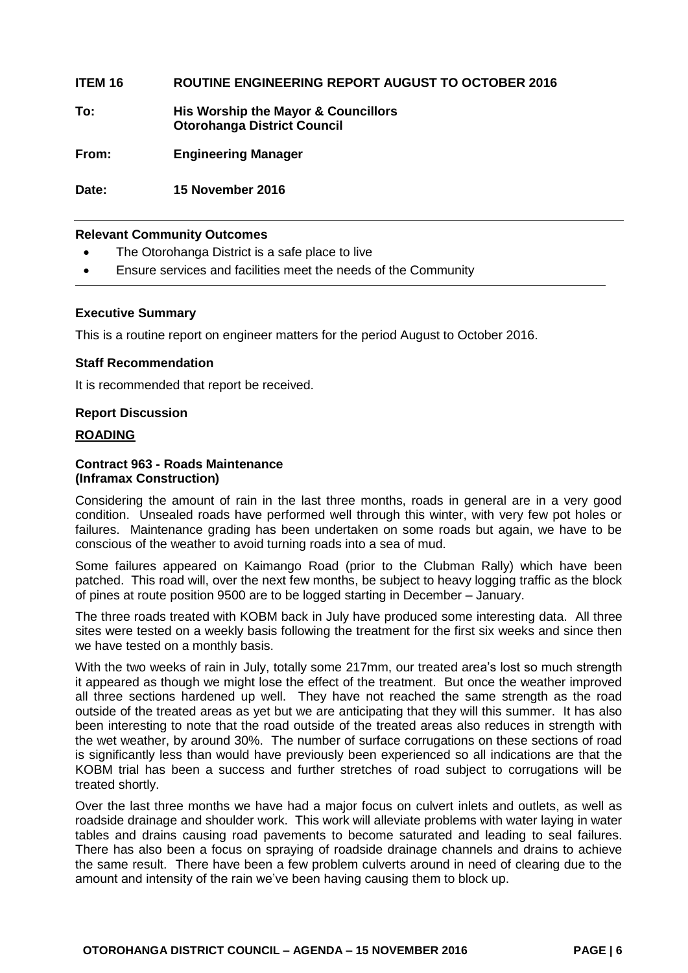# **ITEM 16 ROUTINE ENGINEERING REPORT AUGUST TO OCTOBER 2016**

**To: His Worship the Mayor & Councillors Otorohanga District Council**

**From: Engineering Manager**

**Date: 15 November 2016**

#### **Relevant Community Outcomes**

- The Otorohanga District is a safe place to live
- Ensure services and facilities meet the needs of the Community

#### **Executive Summary**

This is a routine report on engineer matters for the period August to October 2016.

#### **Staff Recommendation**

It is recommended that report be received.

#### **Report Discussion**

# **ROADING**

#### **Contract 963 - Roads Maintenance (Inframax Construction)**

Considering the amount of rain in the last three months, roads in general are in a very good condition. Unsealed roads have performed well through this winter, with very few pot holes or failures. Maintenance grading has been undertaken on some roads but again, we have to be conscious of the weather to avoid turning roads into a sea of mud.

Some failures appeared on Kaimango Road (prior to the Clubman Rally) which have been patched. This road will, over the next few months, be subject to heavy logging traffic as the block of pines at route position 9500 are to be logged starting in December – January.

The three roads treated with KOBM back in July have produced some interesting data. All three sites were tested on a weekly basis following the treatment for the first six weeks and since then we have tested on a monthly basis.

With the two weeks of rain in July, totally some 217mm, our treated area's lost so much strength it appeared as though we might lose the effect of the treatment. But once the weather improved all three sections hardened up well. They have not reached the same strength as the road outside of the treated areas as yet but we are anticipating that they will this summer. It has also been interesting to note that the road outside of the treated areas also reduces in strength with the wet weather, by around 30%. The number of surface corrugations on these sections of road is significantly less than would have previously been experienced so all indications are that the KOBM trial has been a success and further stretches of road subject to corrugations will be treated shortly.

Over the last three months we have had a major focus on culvert inlets and outlets, as well as roadside drainage and shoulder work. This work will alleviate problems with water laying in water tables and drains causing road pavements to become saturated and leading to seal failures. There has also been a focus on spraying of roadside drainage channels and drains to achieve the same result. There have been a few problem culverts around in need of clearing due to the amount and intensity of the rain we've been having causing them to block up.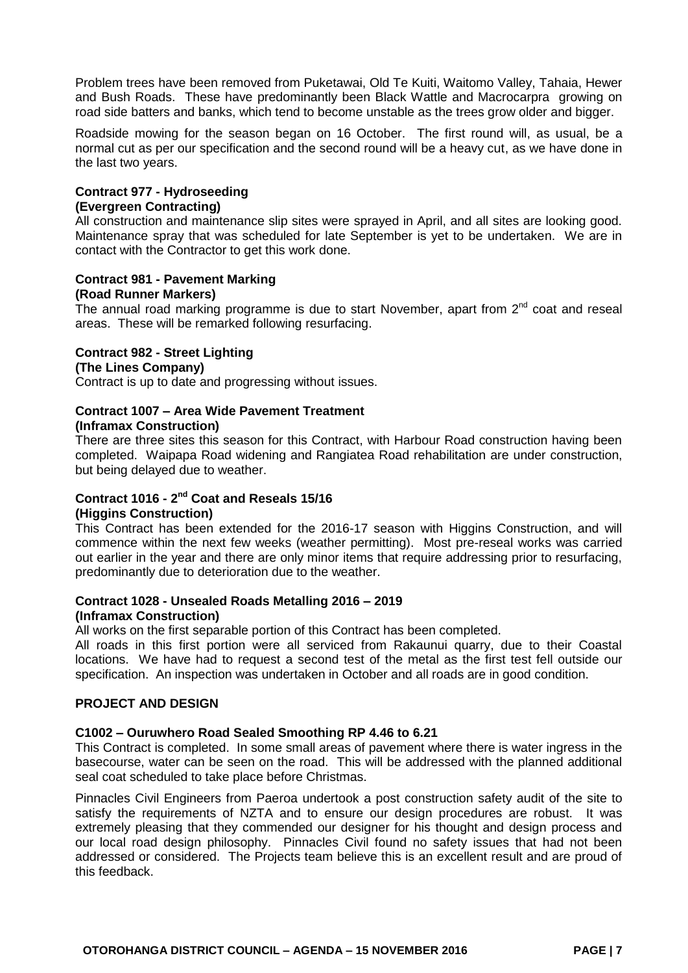Problem trees have been removed from Puketawai, Old Te Kuiti, Waitomo Valley, Tahaia, Hewer and Bush Roads. These have predominantly been Black Wattle and Macrocarpra growing on road side batters and banks, which tend to become unstable as the trees grow older and bigger.

Roadside mowing for the season began on 16 October. The first round will, as usual, be a normal cut as per our specification and the second round will be a heavy cut, as we have done in the last two years.

# **Contract 977 - Hydroseeding**

#### **(Evergreen Contracting)**

All construction and maintenance slip sites were sprayed in April, and all sites are looking good. Maintenance spray that was scheduled for late September is yet to be undertaken. We are in contact with the Contractor to get this work done.

#### **Contract 981 - Pavement Marking (Road Runner Markers)**

The annual road marking programme is due to start November, apart from  $2<sup>nd</sup>$  coat and reseal areas. These will be remarked following resurfacing.

# **Contract 982 - Street Lighting**

# **(The Lines Company)**

Contract is up to date and progressing without issues.

# **Contract 1007 – Area Wide Pavement Treatment**

# **(Inframax Construction)**

There are three sites this season for this Contract, with Harbour Road construction having been completed. Waipapa Road widening and Rangiatea Road rehabilitation are under construction, but being delayed due to weather.

#### **Contract 1016 - 2 nd Coat and Reseals 15/16 (Higgins Construction)**

This Contract has been extended for the 2016-17 season with Higgins Construction, and will commence within the next few weeks (weather permitting). Most pre-reseal works was carried out earlier in the year and there are only minor items that require addressing prior to resurfacing, predominantly due to deterioration due to the weather.

#### **Contract 1028 - Unsealed Roads Metalling 2016 – 2019 (Inframax Construction)**

All works on the first separable portion of this Contract has been completed.

All roads in this first portion were all serviced from Rakaunui quarry, due to their Coastal locations. We have had to request a second test of the metal as the first test fell outside our specification. An inspection was undertaken in October and all roads are in good condition.

# **PROJECT AND DESIGN**

# **C1002 – Ouruwhero Road Sealed Smoothing RP 4.46 to 6.21**

This Contract is completed. In some small areas of pavement where there is water ingress in the basecourse, water can be seen on the road. This will be addressed with the planned additional seal coat scheduled to take place before Christmas.

Pinnacles Civil Engineers from Paeroa undertook a post construction safety audit of the site to satisfy the requirements of NZTA and to ensure our design procedures are robust. It was extremely pleasing that they commended our designer for his thought and design process and our local road design philosophy. Pinnacles Civil found no safety issues that had not been addressed or considered. The Projects team believe this is an excellent result and are proud of this feedback.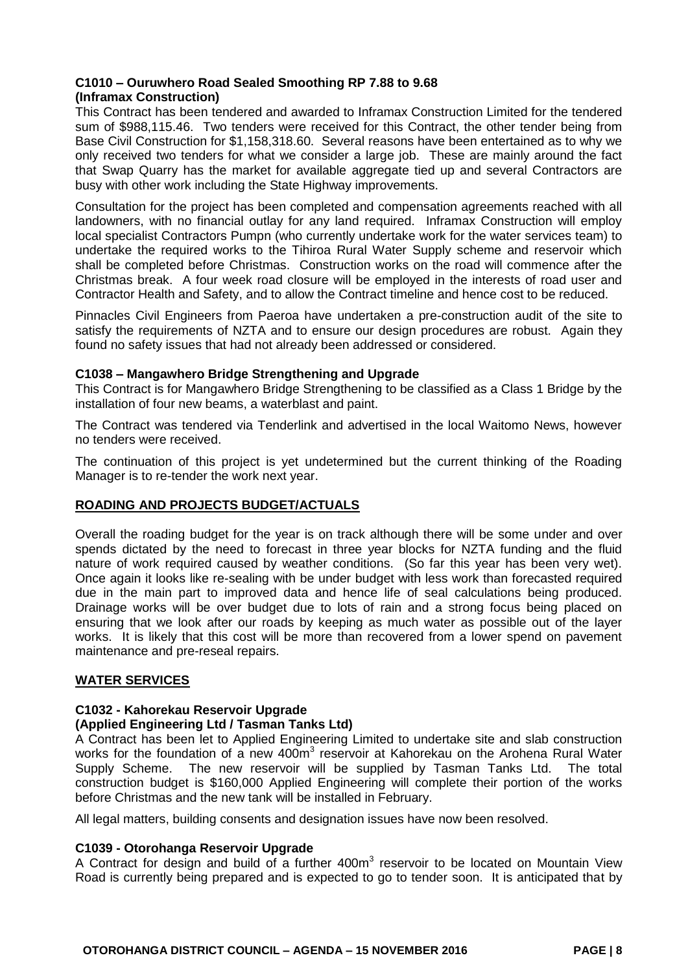# **C1010 – Ouruwhero Road Sealed Smoothing RP 7.88 to 9.68 (Inframax Construction)**

This Contract has been tendered and awarded to Inframax Construction Limited for the tendered sum of \$988,115.46. Two tenders were received for this Contract, the other tender being from Base Civil Construction for \$1,158,318.60. Several reasons have been entertained as to why we only received two tenders for what we consider a large job. These are mainly around the fact that Swap Quarry has the market for available aggregate tied up and several Contractors are busy with other work including the State Highway improvements.

Consultation for the project has been completed and compensation agreements reached with all landowners, with no financial outlay for any land required. Inframax Construction will employ local specialist Contractors Pumpn (who currently undertake work for the water services team) to undertake the required works to the Tihiroa Rural Water Supply scheme and reservoir which shall be completed before Christmas. Construction works on the road will commence after the Christmas break. A four week road closure will be employed in the interests of road user and Contractor Health and Safety, and to allow the Contract timeline and hence cost to be reduced.

Pinnacles Civil Engineers from Paeroa have undertaken a pre-construction audit of the site to satisfy the requirements of NZTA and to ensure our design procedures are robust. Again they found no safety issues that had not already been addressed or considered.

# **C1038 – Mangawhero Bridge Strengthening and Upgrade**

This Contract is for Mangawhero Bridge Strengthening to be classified as a Class 1 Bridge by the installation of four new beams, a waterblast and paint.

The Contract was tendered via Tenderlink and advertised in the local Waitomo News, however no tenders were received.

The continuation of this project is yet undetermined but the current thinking of the Roading Manager is to re-tender the work next year.

# **ROADING AND PROJECTS BUDGET/ACTUALS**

Overall the roading budget for the year is on track although there will be some under and over spends dictated by the need to forecast in three year blocks for NZTA funding and the fluid nature of work required caused by weather conditions. (So far this year has been very wet). Once again it looks like re-sealing with be under budget with less work than forecasted required due in the main part to improved data and hence life of seal calculations being produced. Drainage works will be over budget due to lots of rain and a strong focus being placed on ensuring that we look after our roads by keeping as much water as possible out of the layer works. It is likely that this cost will be more than recovered from a lower spend on pavement maintenance and pre-reseal repairs.

#### **WATER SERVICES**

# **C1032 - Kahorekau Reservoir Upgrade**

#### **(Applied Engineering Ltd / Tasman Tanks Ltd)**

A Contract has been let to Applied Engineering Limited to undertake site and slab construction works for the foundation of a new 400m<sup>3</sup> reservoir at Kahorekau on the Arohena Rural Water Supply Scheme. The new reservoir will be supplied by Tasman Tanks Ltd. The total construction budget is \$160,000 Applied Engineering will complete their portion of the works before Christmas and the new tank will be installed in February.

All legal matters, building consents and designation issues have now been resolved.

#### **C1039 - Otorohanga Reservoir Upgrade**

A Contract for design and build of a further 400m<sup>3</sup> reservoir to be located on Mountain View Road is currently being prepared and is expected to go to tender soon. It is anticipated that by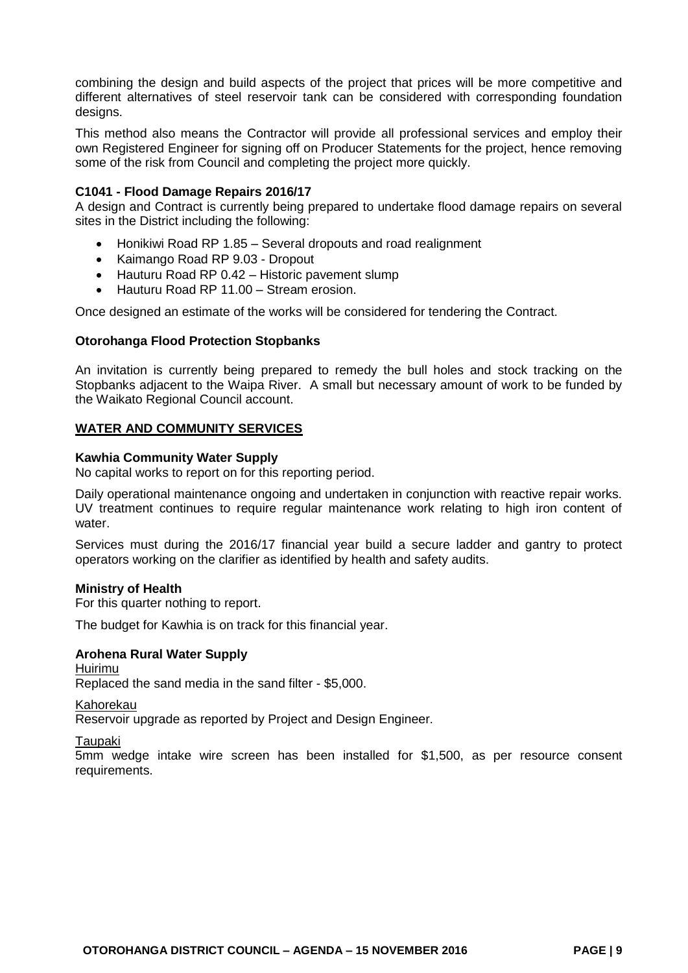combining the design and build aspects of the project that prices will be more competitive and different alternatives of steel reservoir tank can be considered with corresponding foundation designs.

This method also means the Contractor will provide all professional services and employ their own Registered Engineer for signing off on Producer Statements for the project, hence removing some of the risk from Council and completing the project more quickly.

#### **C1041 - Flood Damage Repairs 2016/17**

A design and Contract is currently being prepared to undertake flood damage repairs on several sites in the District including the following:

- Honikiwi Road RP 1.85 Several dropouts and road realignment
- Kaimango Road RP 9.03 Dropout
- Hauturu Road RP 0.42 Historic pavement slump
- Hauturu Road RP 11.00 Stream erosion.

Once designed an estimate of the works will be considered for tendering the Contract.

#### **Otorohanga Flood Protection Stopbanks**

An invitation is currently being prepared to remedy the bull holes and stock tracking on the Stopbanks adjacent to the Waipa River. A small but necessary amount of work to be funded by the Waikato Regional Council account.

#### **WATER AND COMMUNITY SERVICES**

#### **Kawhia Community Water Supply**

No capital works to report on for this reporting period.

Daily operational maintenance ongoing and undertaken in conjunction with reactive repair works. UV treatment continues to require regular maintenance work relating to high iron content of water.

Services must during the 2016/17 financial year build a secure ladder and gantry to protect operators working on the clarifier as identified by health and safety audits.

#### **Ministry of Health**

For this quarter nothing to report.

The budget for Kawhia is on track for this financial year.

#### **Arohena Rural Water Supply**

Huirimu Replaced the sand media in the sand filter - \$5,000.

Kahorekau

Reservoir upgrade as reported by Project and Design Engineer.

**Taupaki** 

5mm wedge intake wire screen has been installed for \$1,500, as per resource consent requirements.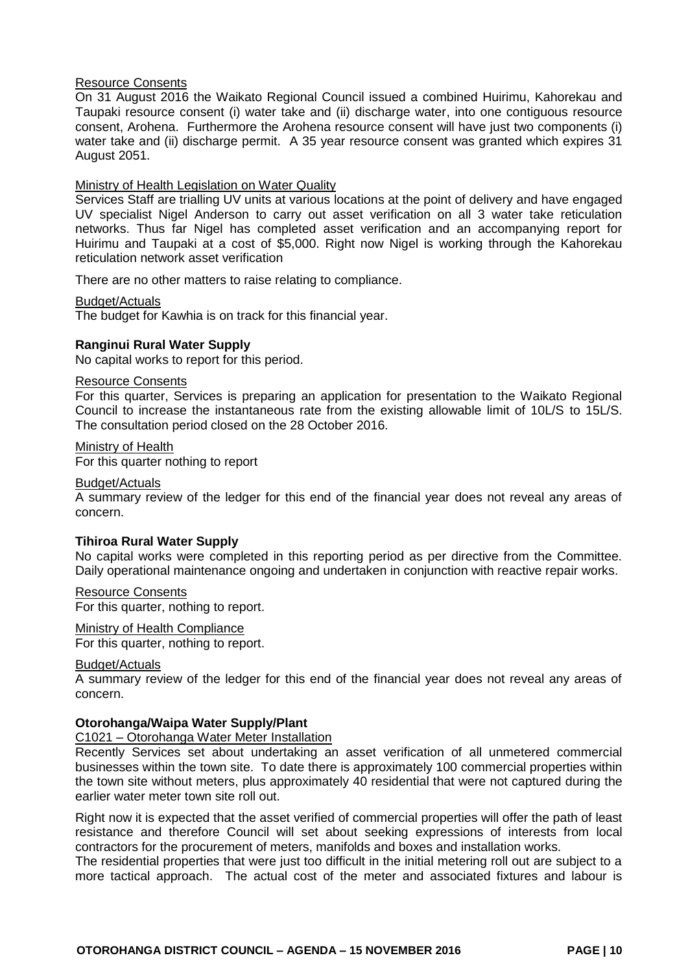#### Resource Consents

On 31 August 2016 the Waikato Regional Council issued a combined Huirimu, Kahorekau and Taupaki resource consent (i) water take and (ii) discharge water, into one contiguous resource consent, Arohena. Furthermore the Arohena resource consent will have just two components (i) water take and (ii) discharge permit. A 35 year resource consent was granted which expires 31 August 2051.

#### Ministry of Health Legislation on Water Quality

Services Staff are trialling UV units at various locations at the point of delivery and have engaged UV specialist Nigel Anderson to carry out asset verification on all 3 water take reticulation networks. Thus far Nigel has completed asset verification and an accompanying report for Huirimu and Taupaki at a cost of \$5,000. Right now Nigel is working through the Kahorekau reticulation network asset verification

There are no other matters to raise relating to compliance.

#### Budget/Actuals

The budget for Kawhia is on track for this financial year.

#### **Ranginui Rural Water Supply**

No capital works to report for this period.

#### Resource Consents

For this quarter, Services is preparing an application for presentation to the Waikato Regional Council to increase the instantaneous rate from the existing allowable limit of 10L/S to 15L/S. The consultation period closed on the 28 October 2016.

# Ministry of Health

For this quarter nothing to report

#### Budget/Actuals

A summary review of the ledger for this end of the financial year does not reveal any areas of concern.

#### **Tihiroa Rural Water Supply**

No capital works were completed in this reporting period as per directive from the Committee. Daily operational maintenance ongoing and undertaken in conjunction with reactive repair works.

#### Resource Consents

For this quarter, nothing to report.

#### Ministry of Health Compliance

For this quarter, nothing to report.

#### Budget/Actuals

A summary review of the ledger for this end of the financial year does not reveal any areas of concern.

#### **Otorohanga/Waipa Water Supply/Plant**

#### C1021 – Otorohanga Water Meter Installation

Recently Services set about undertaking an asset verification of all unmetered commercial businesses within the town site. To date there is approximately 100 commercial properties within the town site without meters, plus approximately 40 residential that were not captured during the earlier water meter town site roll out.

Right now it is expected that the asset verified of commercial properties will offer the path of least resistance and therefore Council will set about seeking expressions of interests from local contractors for the procurement of meters, manifolds and boxes and installation works.

The residential properties that were just too difficult in the initial metering roll out are subject to a more tactical approach. The actual cost of the meter and associated fixtures and labour is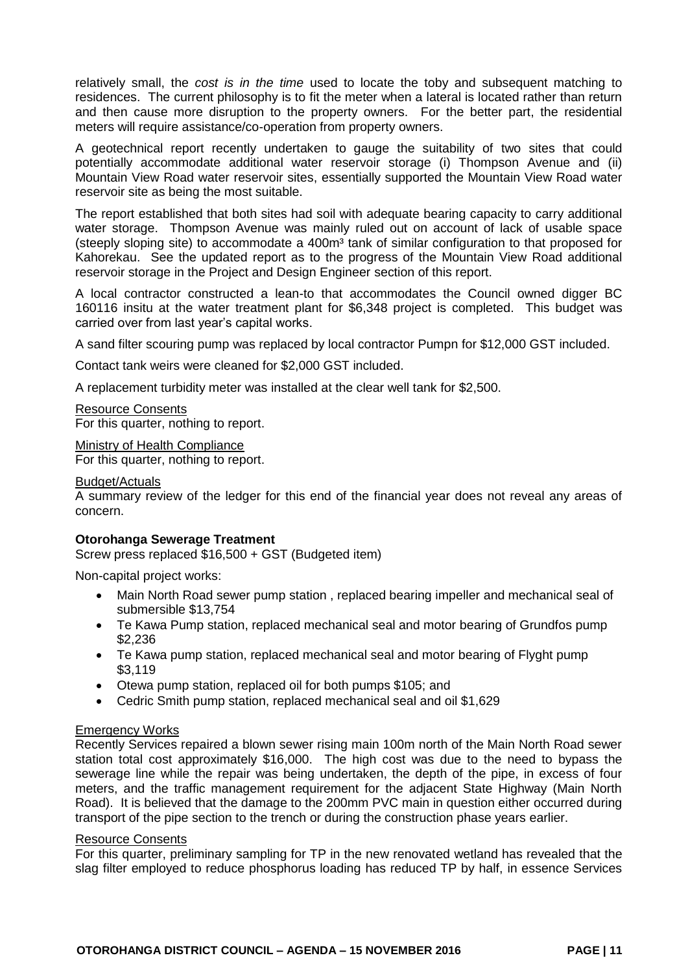relatively small, the *cost is in the time* used to locate the toby and subsequent matching to residences. The current philosophy is to fit the meter when a lateral is located rather than return and then cause more disruption to the property owners. For the better part, the residential meters will require assistance/co-operation from property owners.

A geotechnical report recently undertaken to gauge the suitability of two sites that could potentially accommodate additional water reservoir storage (i) Thompson Avenue and (ii) Mountain View Road water reservoir sites, essentially supported the Mountain View Road water reservoir site as being the most suitable.

The report established that both sites had soil with adequate bearing capacity to carry additional water storage. Thompson Avenue was mainly ruled out on account of lack of usable space (steeply sloping site) to accommodate a 400m<sup>3</sup> tank of similar configuration to that proposed for Kahorekau. See the updated report as to the progress of the Mountain View Road additional reservoir storage in the Project and Design Engineer section of this report.

A local contractor constructed a lean-to that accommodates the Council owned digger BC 160116 insitu at the water treatment plant for \$6,348 project is completed. This budget was carried over from last year's capital works.

A sand filter scouring pump was replaced by local contractor Pumpn for \$12,000 GST included.

Contact tank weirs were cleaned for \$2,000 GST included.

A replacement turbidity meter was installed at the clear well tank for \$2,500.

Resource Consents For this quarter, nothing to report.

Ministry of Health Compliance For this quarter, nothing to report.

#### Budget/Actuals

A summary review of the ledger for this end of the financial year does not reveal any areas of concern.

#### **Otorohanga Sewerage Treatment**

Screw press replaced \$16,500 + GST (Budgeted item)

Non-capital project works:

- Main North Road sewer pump station , replaced bearing impeller and mechanical seal of submersible \$13,754
- Te Kawa Pump station, replaced mechanical seal and motor bearing of Grundfos pump \$2,236
- Te Kawa pump station, replaced mechanical seal and motor bearing of Flyght pump \$3,119
- Otewa pump station, replaced oil for both pumps \$105; and
- Cedric Smith pump station, replaced mechanical seal and oil \$1,629

# Emergency Works

Recently Services repaired a blown sewer rising main 100m north of the Main North Road sewer station total cost approximately \$16,000. The high cost was due to the need to bypass the sewerage line while the repair was being undertaken, the depth of the pipe, in excess of four meters, and the traffic management requirement for the adjacent State Highway (Main North Road). It is believed that the damage to the 200mm PVC main in question either occurred during transport of the pipe section to the trench or during the construction phase years earlier.

#### Resource Consents

For this quarter, preliminary sampling for TP in the new renovated wetland has revealed that the slag filter employed to reduce phosphorus loading has reduced TP by half, in essence Services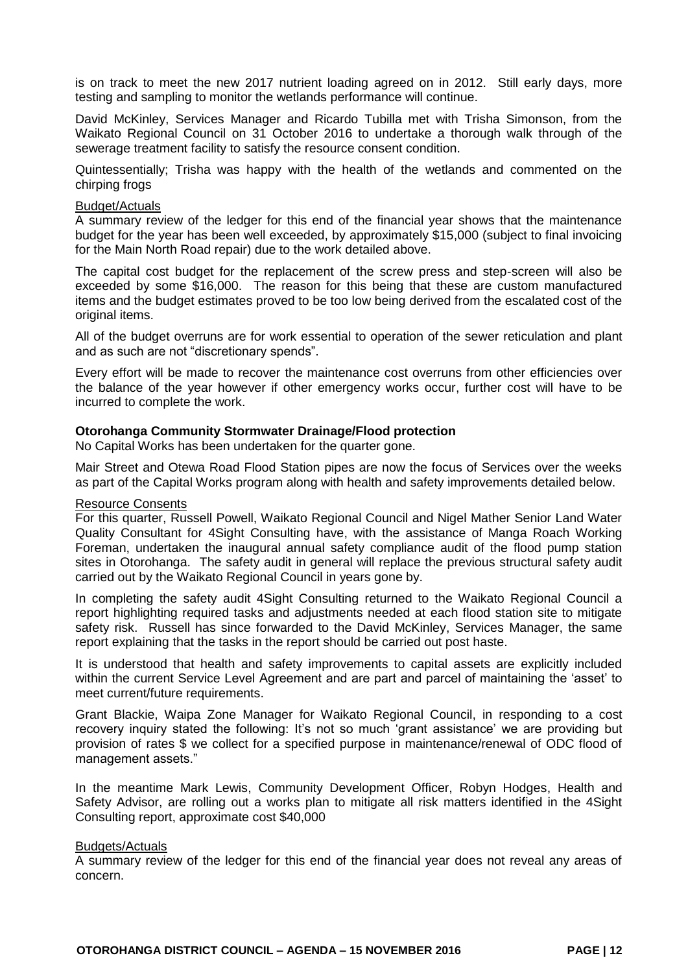is on track to meet the new 2017 nutrient loading agreed on in 2012. Still early days, more testing and sampling to monitor the wetlands performance will continue.

David McKinley, Services Manager and Ricardo Tubilla met with Trisha Simonson, from the Waikato Regional Council on 31 October 2016 to undertake a thorough walk through of the sewerage treatment facility to satisfy the resource consent condition.

Quintessentially; Trisha was happy with the health of the wetlands and commented on the chirping frogs

#### Budget/Actuals

A summary review of the ledger for this end of the financial year shows that the maintenance budget for the year has been well exceeded, by approximately \$15,000 (subject to final invoicing for the Main North Road repair) due to the work detailed above.

The capital cost budget for the replacement of the screw press and step-screen will also be exceeded by some \$16,000. The reason for this being that these are custom manufactured items and the budget estimates proved to be too low being derived from the escalated cost of the original items.

All of the budget overruns are for work essential to operation of the sewer reticulation and plant and as such are not "discretionary spends".

Every effort will be made to recover the maintenance cost overruns from other efficiencies over the balance of the year however if other emergency works occur, further cost will have to be incurred to complete the work.

#### **Otorohanga Community Stormwater Drainage/Flood protection**

No Capital Works has been undertaken for the quarter gone.

Mair Street and Otewa Road Flood Station pipes are now the focus of Services over the weeks as part of the Capital Works program along with health and safety improvements detailed below.

#### Resource Consents

For this quarter, Russell Powell, Waikato Regional Council and Nigel Mather Senior Land Water Quality Consultant for 4Sight Consulting have, with the assistance of Manga Roach Working Foreman, undertaken the inaugural annual safety compliance audit of the flood pump station sites in Otorohanga. The safety audit in general will replace the previous structural safety audit carried out by the Waikato Regional Council in years gone by.

In completing the safety audit 4Sight Consulting returned to the Waikato Regional Council a report highlighting required tasks and adjustments needed at each flood station site to mitigate safety risk. Russell has since forwarded to the David McKinley, Services Manager, the same report explaining that the tasks in the report should be carried out post haste.

It is understood that health and safety improvements to capital assets are explicitly included within the current Service Level Agreement and are part and parcel of maintaining the 'asset' to meet current/future requirements.

Grant Blackie, Waipa Zone Manager for Waikato Regional Council, in responding to a cost recovery inquiry stated the following: It's not so much 'grant assistance' we are providing but provision of rates \$ we collect for a specified purpose in maintenance/renewal of ODC flood of management assets."

In the meantime Mark Lewis, Community Development Officer, Robyn Hodges, Health and Safety Advisor, are rolling out a works plan to mitigate all risk matters identified in the 4Sight Consulting report, approximate cost \$40,000

#### Budgets/Actuals

A summary review of the ledger for this end of the financial year does not reveal any areas of concern.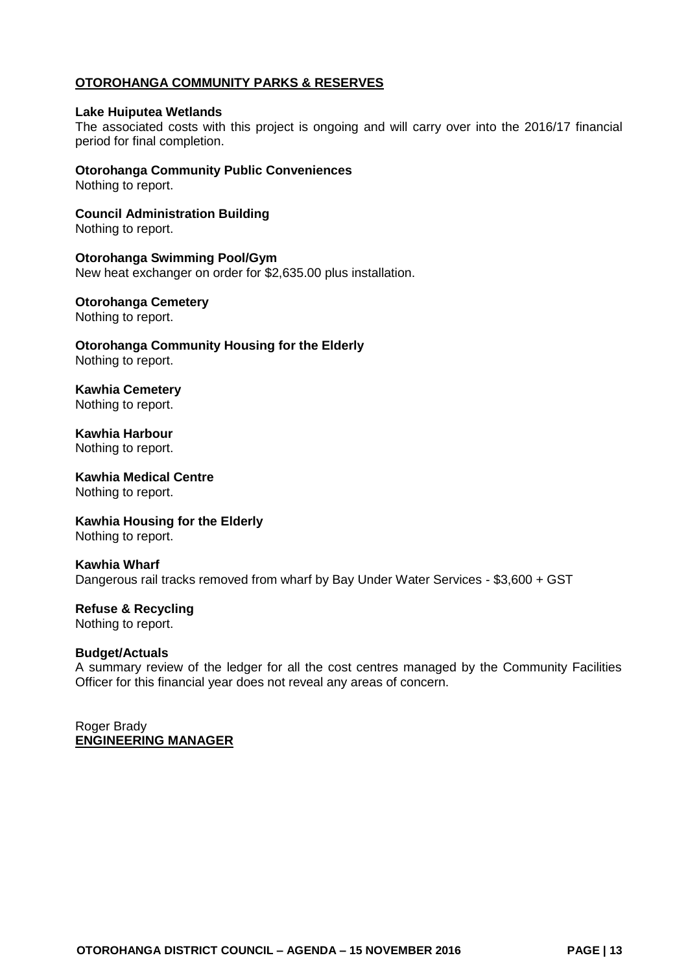# **OTOROHANGA COMMUNITY PARKS & RESERVES**

#### **Lake Huiputea Wetlands**

The associated costs with this project is ongoing and will carry over into the 2016/17 financial period for final completion.

**Otorohanga Community Public Conveniences** Nothing to report.

**Council Administration Building** Nothing to report.

**Otorohanga Swimming Pool/Gym**  New heat exchanger on order for \$2,635.00 plus installation.

#### **Otorohanga Cemetery**

Nothing to report.

**Otorohanga Community Housing for the Elderly**  Nothing to report.

**Kawhia Cemetery**  Nothing to report.

**Kawhia Harbour**  Nothing to report.

**Kawhia Medical Centre**  Nothing to report.

**Kawhia Housing for the Elderly** Nothing to report.

**Kawhia Wharf** Dangerous rail tracks removed from wharf by Bay Under Water Services - \$3,600 + GST

**Refuse & Recycling** Nothing to report.

#### **Budget/Actuals**

A summary review of the ledger for all the cost centres managed by the Community Facilities Officer for this financial year does not reveal any areas of concern.

Roger Brady **ENGINEERING MANAGER**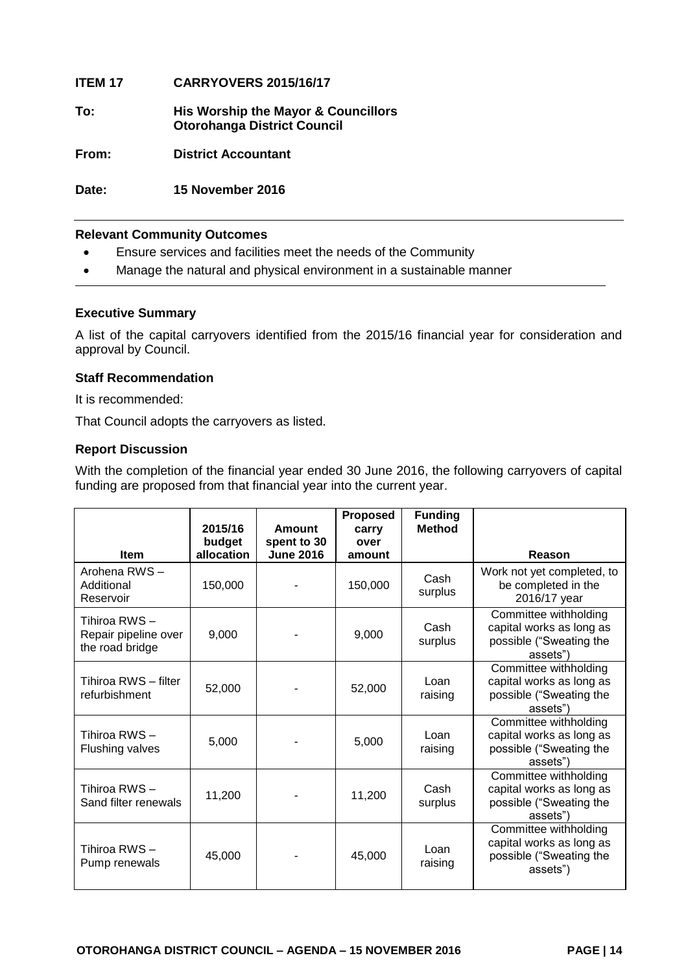# **ITEM 17 CARRYOVERS 2015/16/17**

**To: His Worship the Mayor & Councillors Otorohanga District Council** 

**From: District Accountant**

**Date: 15 November 2016**

# **Relevant Community Outcomes**

- Ensure services and facilities meet the needs of the Community
- Manage the natural and physical environment in a sustainable manner

#### **Executive Summary**

A list of the capital carryovers identified from the 2015/16 financial year for consideration and approval by Council.

#### **Staff Recommendation**

It is recommended:

That Council adopts the carryovers as listed.

# **Report Discussion**

With the completion of the financial year ended 30 June 2016, the following carryovers of capital funding are proposed from that financial year into the current year.

|                                                          | 2015/16<br>budget | Amount<br>spent to 30 | <b>Proposed</b><br>carry<br>over | <b>Funding</b><br><b>Method</b> |                                                                                          |
|----------------------------------------------------------|-------------------|-----------------------|----------------------------------|---------------------------------|------------------------------------------------------------------------------------------|
| <b>Item</b>                                              | allocation        | <b>June 2016</b>      | amount                           |                                 | Reason                                                                                   |
| Arohena RWS-<br>Additional<br>Reservoir                  | 150,000           |                       | 150,000                          | Cash<br>surplus                 | Work not yet completed, to<br>be completed in the<br>2016/17 year                        |
| Tihiroa RWS –<br>Repair pipeline over<br>the road bridge | 9,000             |                       | 9,000                            | Cash<br>surplus                 | Committee withholding<br>capital works as long as<br>possible ("Sweating the<br>assets") |
| Tihiroa RWS - filter<br>refurbishment                    | 52,000            |                       | 52,000                           | Loan<br>raising                 | Committee withholding<br>capital works as long as<br>possible ("Sweating the<br>assets") |
| Tihiroa RWS –<br><b>Flushing valves</b>                  | 5,000             |                       | 5,000                            | Loan<br>raising                 | Committee withholding<br>capital works as long as<br>possible ("Sweating the<br>assets") |
| Tihiroa RWS -<br>Sand filter renewals                    | 11,200            |                       | 11,200                           | Cash<br>surplus                 | Committee withholding<br>capital works as long as<br>possible ("Sweating the<br>assets") |
| Tihiroa RWS -<br>Pump renewals                           | 45,000            |                       | 45,000                           | Loan<br>raising                 | Committee withholding<br>capital works as long as<br>possible ("Sweating the<br>assets") |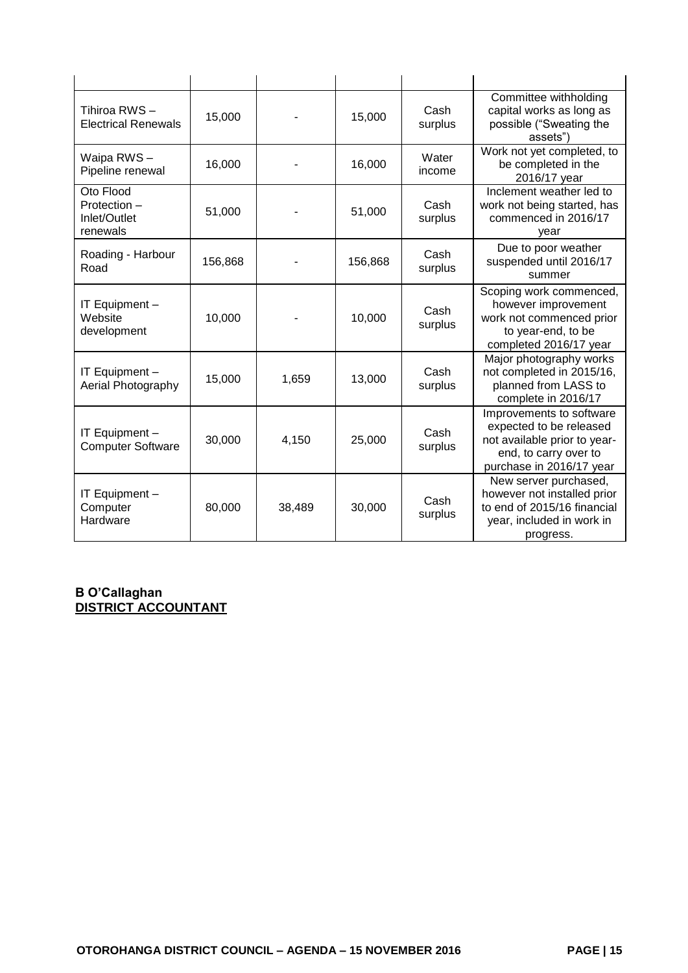| Tihiroa RWS-<br><b>Electrical Renewals</b>            | 15,000  |        | 15,000  | Cash<br>surplus | Committee withholding<br>capital works as long as<br>possible ("Sweating the<br>assets")                                                 |
|-------------------------------------------------------|---------|--------|---------|-----------------|------------------------------------------------------------------------------------------------------------------------------------------|
| Waipa RWS-<br>Pipeline renewal                        | 16,000  |        | 16,000  | Water<br>income | Work not yet completed, to<br>be completed in the<br>2016/17 year                                                                        |
| Oto Flood<br>Protection -<br>Inlet/Outlet<br>renewals | 51,000  |        | 51,000  | Cash<br>surplus | Inclement weather led to<br>work not being started, has<br>commenced in 2016/17<br>year                                                  |
| Roading - Harbour<br>Road                             | 156,868 |        | 156,868 | Cash<br>surplus | Due to poor weather<br>suspended until 2016/17<br>summer                                                                                 |
| IT Equipment -<br>Website<br>development              | 10,000  |        | 10,000  | Cash<br>surplus | Scoping work commenced,<br>however improvement<br>work not commenced prior<br>to year-end, to be<br>completed 2016/17 year               |
| IT Equipment -<br>Aerial Photography                  | 15,000  | 1,659  | 13,000  | Cash<br>surplus | Major photography works<br>not completed in 2015/16,<br>planned from LASS to<br>complete in 2016/17                                      |
| IT Equipment -<br><b>Computer Software</b>            | 30,000  | 4,150  | 25,000  | Cash<br>surplus | Improvements to software<br>expected to be released<br>not available prior to year-<br>end, to carry over to<br>purchase in 2016/17 year |
| IT Equipment -<br>Computer<br>Hardware                | 80,000  | 38,489 | 30,000  | Cash<br>surplus | New server purchased,<br>however not installed prior<br>to end of 2015/16 financial<br>year, included in work in<br>progress.            |

# **B O'Callaghan DISTRICT ACCOUNTANT**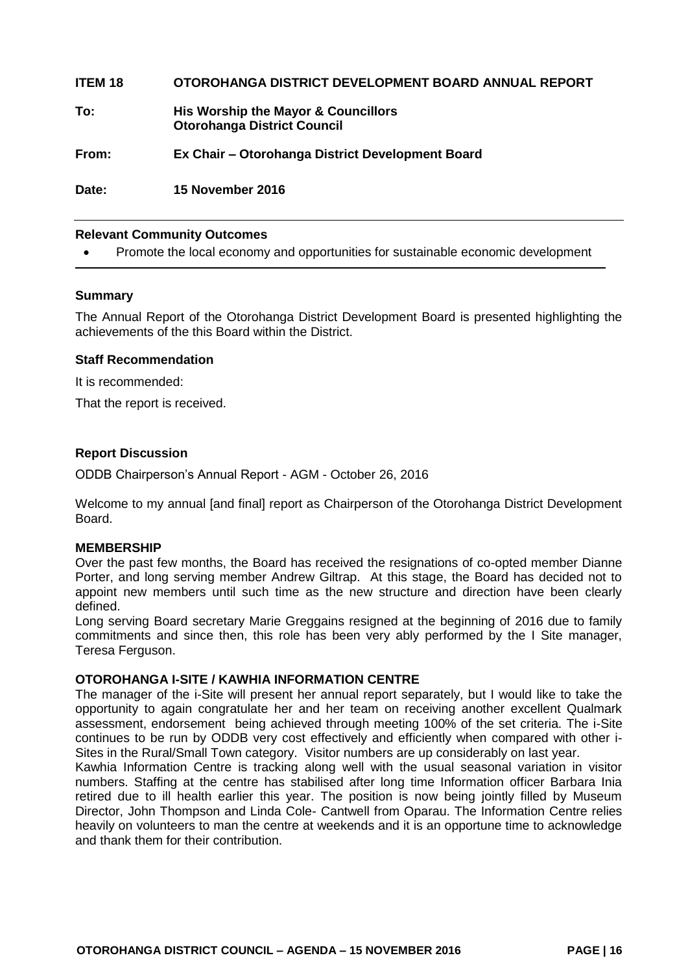# **ITEM 18 OTOROHANGA DISTRICT DEVELOPMENT BOARD ANNUAL REPORT**

**To: His Worship the Mayor & Councillors Otorohanga District Council** 

**From: Ex Chair – Otorohanga District Development Board** 

**Date: 15 November 2016**

#### **Relevant Community Outcomes**

Promote the local economy and opportunities for sustainable economic development

#### **Summary**

The Annual Report of the Otorohanga District Development Board is presented highlighting the achievements of the this Board within the District.

#### **Staff Recommendation**

It is recommended:

That the report is received.

#### **Report Discussion**

ODDB Chairperson's Annual Report - AGM - October 26, 2016

Welcome to my annual [and final] report as Chairperson of the Otorohanga District Development Board.

#### **MEMBERSHIP**

Over the past few months, the Board has received the resignations of co-opted member Dianne Porter, and long serving member Andrew Giltrap. At this stage, the Board has decided not to appoint new members until such time as the new structure and direction have been clearly defined.

Long serving Board secretary Marie Greggains resigned at the beginning of 2016 due to family commitments and since then, this role has been very ably performed by the I Site manager, Teresa Ferguson.

# **OTOROHANGA I-SITE / KAWHIA INFORMATION CENTRE**

The manager of the i-Site will present her annual report separately, but I would like to take the opportunity to again congratulate her and her team on receiving another excellent Qualmark assessment, endorsement being achieved through meeting 100% of the set criteria. The i-Site continues to be run by ODDB very cost effectively and efficiently when compared with other i-Sites in the Rural/Small Town category. Visitor numbers are up considerably on last year.

Kawhia Information Centre is tracking along well with the usual seasonal variation in visitor numbers. Staffing at the centre has stabilised after long time Information officer Barbara Inia retired due to ill health earlier this year. The position is now being jointly filled by Museum Director, John Thompson and Linda Cole- Cantwell from Oparau. The Information Centre relies heavily on volunteers to man the centre at weekends and it is an opportune time to acknowledge and thank them for their contribution.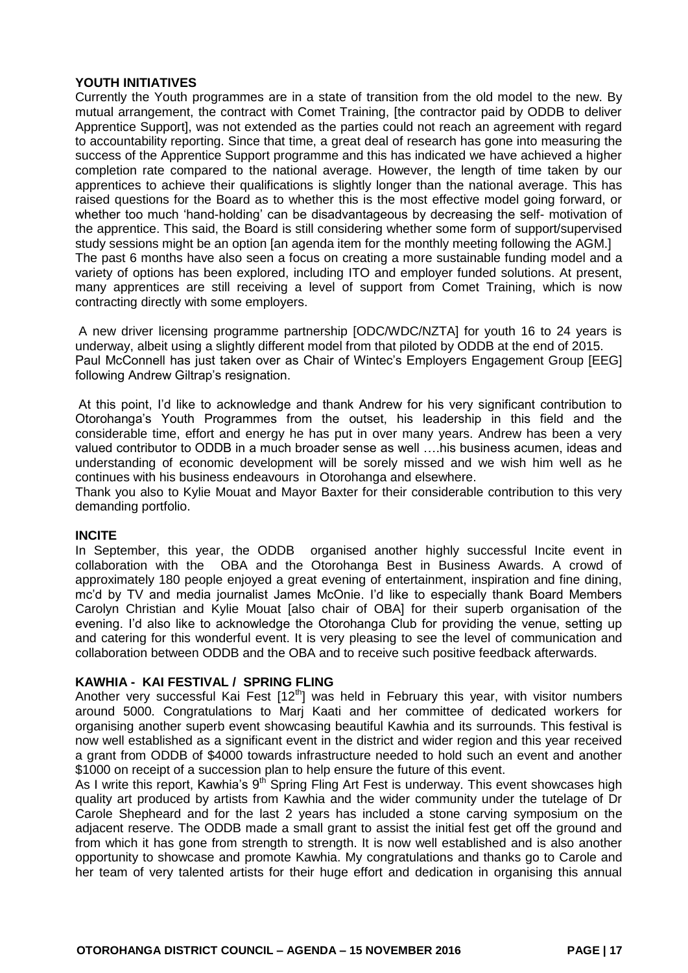# **YOUTH INITIATIVES**

Currently the Youth programmes are in a state of transition from the old model to the new. By mutual arrangement, the contract with Comet Training, [the contractor paid by ODDB to deliver Apprentice Support], was not extended as the parties could not reach an agreement with regard to accountability reporting. Since that time, a great deal of research has gone into measuring the success of the Apprentice Support programme and this has indicated we have achieved a higher completion rate compared to the national average. However, the length of time taken by our apprentices to achieve their qualifications is slightly longer than the national average. This has raised questions for the Board as to whether this is the most effective model going forward, or whether too much 'hand-holding' can be disadvantageous by decreasing the self- motivation of the apprentice. This said, the Board is still considering whether some form of support/supervised study sessions might be an option [an agenda item for the monthly meeting following the AGM.] The past 6 months have also seen a focus on creating a more sustainable funding model and a variety of options has been explored, including ITO and employer funded solutions. At present, many apprentices are still receiving a level of support from Comet Training, which is now contracting directly with some employers.

A new driver licensing programme partnership [ODC/WDC/NZTA] for youth 16 to 24 years is underway, albeit using a slightly different model from that piloted by ODDB at the end of 2015. Paul McConnell has just taken over as Chair of Wintec's Employers Engagement Group [EEG] following Andrew Giltrap's resignation.

At this point, I'd like to acknowledge and thank Andrew for his very significant contribution to Otorohanga's Youth Programmes from the outset, his leadership in this field and the considerable time, effort and energy he has put in over many years. Andrew has been a very valued contributor to ODDB in a much broader sense as well ….his business acumen, ideas and understanding of economic development will be sorely missed and we wish him well as he continues with his business endeavours in Otorohanga and elsewhere.

Thank you also to Kylie Mouat and Mayor Baxter for their considerable contribution to this very demanding portfolio.

**INCITE**<br>In September, this year, the ODDB organised another highly successful Incite event in collaboration with the OBA and the Otorohanga Best in Business Awards. A crowd of approximately 180 people enjoyed a great evening of entertainment, inspiration and fine dining, mc'd by TV and media journalist James McOnie. I'd like to especially thank Board Members Carolyn Christian and Kylie Mouat [also chair of OBA] for their superb organisation of the evening. I'd also like to acknowledge the Otorohanga Club for providing the venue, setting up and catering for this wonderful event. It is very pleasing to see the level of communication and collaboration between ODDB and the OBA and to receive such positive feedback afterwards.

#### **KAWHIA - KAI FESTIVAL / SPRING FLING**

Another very successful Kai Fest  $12<sup>th</sup>$  was held in February this vear, with visitor numbers around 5000. Congratulations to Marj Kaati and her committee of dedicated workers for organising another superb event showcasing beautiful Kawhia and its surrounds. This festival is now well established as a significant event in the district and wider region and this year received a grant from ODDB of \$4000 towards infrastructure needed to hold such an event and another \$1000 on receipt of a succession plan to help ensure the future of this event.

As I write this report, Kawhia's  $9<sup>th</sup>$  Spring Fling Art Fest is underway. This event showcases high quality art produced by artists from Kawhia and the wider community under the tutelage of Dr Carole Shepheard and for the last 2 years has included a stone carving symposium on the adjacent reserve. The ODDB made a small grant to assist the initial fest get off the ground and from which it has gone from strength to strength. It is now well established and is also another opportunity to showcase and promote Kawhia. My congratulations and thanks go to Carole and her team of very talented artists for their huge effort and dedication in organising this annual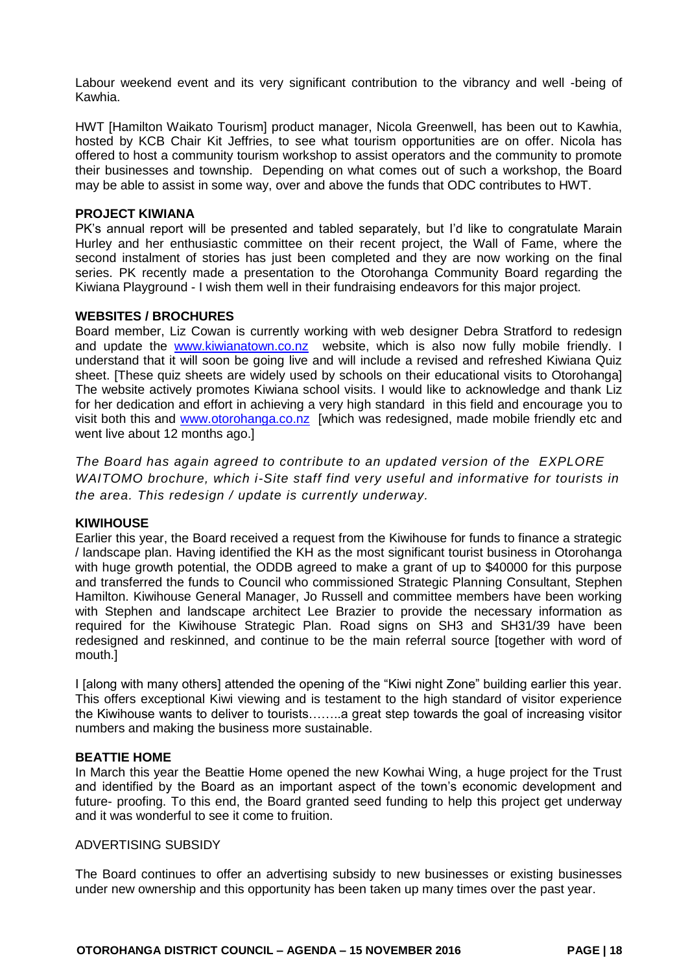Labour weekend event and its very significant contribution to the vibrancy and well -being of Kawhia.

HWT [Hamilton Waikato Tourism] product manager, Nicola Greenwell, has been out to Kawhia, hosted by KCB Chair Kit Jeffries, to see what tourism opportunities are on offer. Nicola has offered to host a community tourism workshop to assist operators and the community to promote their businesses and township. Depending on what comes out of such a workshop, the Board may be able to assist in some way, over and above the funds that ODC contributes to HWT.

#### **PROJECT KIWIANA**

PK's annual report will be presented and tabled separately, but I'd like to congratulate Marain Hurley and her enthusiastic committee on their recent project, the Wall of Fame, where the second instalment of stories has just been completed and they are now working on the final series. PK recently made a presentation to the Otorohanga Community Board regarding the Kiwiana Playground - I wish them well in their fundraising endeavors for this major project.

#### **WEBSITES / BROCHURES**

Board member, Liz Cowan is currently working with web designer Debra Stratford to redesign and update the [www.kiwianatown.co.nz](http://www.kiwianatown.co.nz/) website, which is also now fully mobile friendly. I understand that it will soon be going live and will include a revised and refreshed Kiwiana Quiz sheet. [These quiz sheets are widely used by schools on their educational visits to Otorohanga] The website actively promotes Kiwiana school visits. I would like to acknowledge and thank Liz for her dedication and effort in achieving a very high standard in this field and encourage you to visit both this and [www.otorohanga.co.nz](http://www.otorohanga.co.nz/) [which was redesigned, made mobile friendly etc and went live about 12 months ago.]

*The Board has again agreed to contribute to an updated version of the EXPLORE WAITOMO brochure, which i-Site staff find very useful and informative for tourists in the area. This redesign / update is currently underway.*

#### **KIWIHOUSE**

Earlier this year, the Board received a request from the Kiwihouse for funds to finance a strategic / landscape plan. Having identified the KH as the most significant tourist business in Otorohanga with huge growth potential, the ODDB agreed to make a grant of up to \$40000 for this purpose and transferred the funds to Council who commissioned Strategic Planning Consultant, Stephen Hamilton. Kiwihouse General Manager, Jo Russell and committee members have been working with Stephen and landscape architect Lee Brazier to provide the necessary information as required for the Kiwihouse Strategic Plan. Road signs on SH3 and SH31/39 have been redesigned and reskinned, and continue to be the main referral source [together with word of mouth.]

I [along with many others] attended the opening of the "Kiwi night Zone" building earlier this year. This offers exceptional Kiwi viewing and is testament to the high standard of visitor experience the Kiwihouse wants to deliver to tourists……..a great step towards the goal of increasing visitor numbers and making the business more sustainable.

#### **BEATTIE HOME**

In March this year the Beattie Home opened the new Kowhai Wing, a huge project for the Trust and identified by the Board as an important aspect of the town's economic development and future- proofing. To this end, the Board granted seed funding to help this project get underway and it was wonderful to see it come to fruition.

#### ADVERTISING SUBSIDY

The Board continues to offer an advertising subsidy to new businesses or existing businesses under new ownership and this opportunity has been taken up many times over the past year.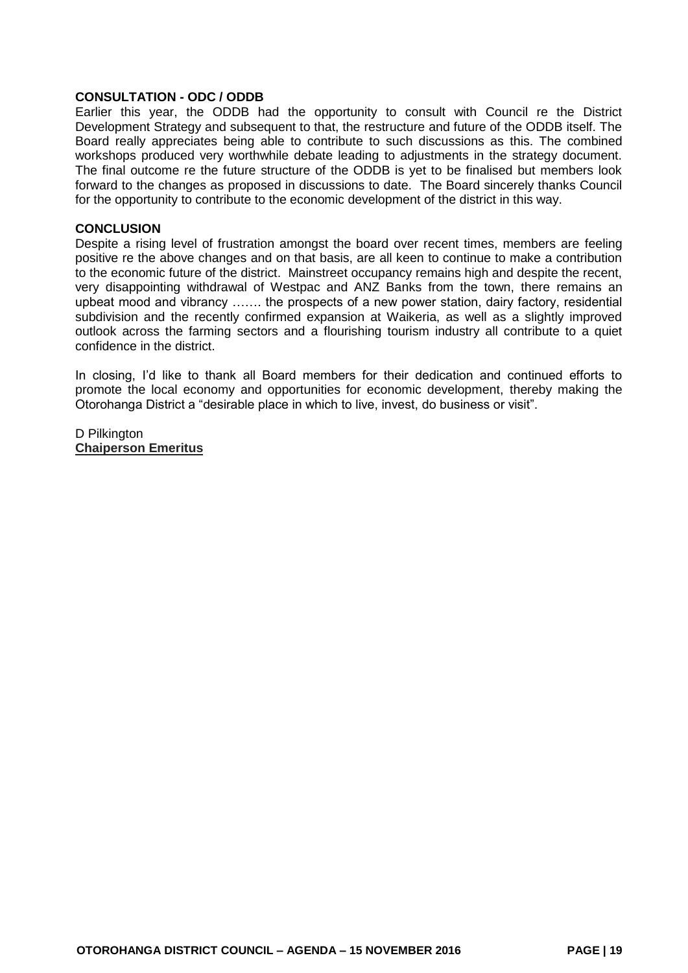#### **CONSULTATION - ODC / ODDB**

Earlier this year, the ODDB had the opportunity to consult with Council re the District Development Strategy and subsequent to that, the restructure and future of the ODDB itself. The Board really appreciates being able to contribute to such discussions as this. The combined workshops produced very worthwhile debate leading to adjustments in the strategy document. The final outcome re the future structure of the ODDB is yet to be finalised but members look forward to the changes as proposed in discussions to date. The Board sincerely thanks Council for the opportunity to contribute to the economic development of the district in this way.

#### **CONCLUSION**

Despite a rising level of frustration amongst the board over recent times, members are feeling positive re the above changes and on that basis, are all keen to continue to make a contribution to the economic future of the district. Mainstreet occupancy remains high and despite the recent, very disappointing withdrawal of Westpac and ANZ Banks from the town, there remains an upbeat mood and vibrancy ……. the prospects of a new power station, dairy factory, residential subdivision and the recently confirmed expansion at Waikeria, as well as a slightly improved outlook across the farming sectors and a flourishing tourism industry all contribute to a quiet confidence in the district.

In closing, I'd like to thank all Board members for their dedication and continued efforts to promote the local economy and opportunities for economic development, thereby making the Otorohanga District a "desirable place in which to live, invest, do business or visit".

D Pilkington **Chaiperson Emeritus**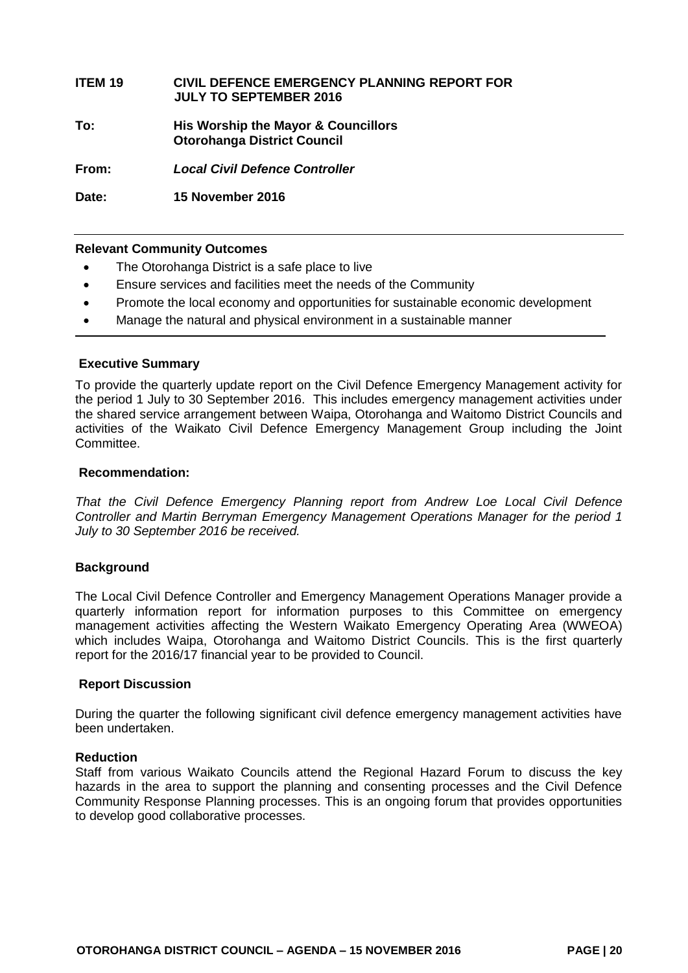# **ITEM 19 CIVIL DEFENCE EMERGENCY PLANNING REPORT FOR JULY TO SEPTEMBER 2016 To: His Worship the Mayor & Councillors Otorohanga District Council From:** *Local Civil Defence Controller*

**Date: 15 November 2016**

#### **Relevant Community Outcomes**

- The Otorohanga District is a safe place to live
- Ensure services and facilities meet the needs of the Community
- Promote the local economy and opportunities for sustainable economic development
- Manage the natural and physical environment in a sustainable manner

#### **Executive Summary**

To provide the quarterly update report on the Civil Defence Emergency Management activity for the period 1 July to 30 September 2016. This includes emergency management activities under the shared service arrangement between Waipa, Otorohanga and Waitomo District Councils and activities of the Waikato Civil Defence Emergency Management Group including the Joint Committee.

#### **Recommendation:**

*That the Civil Defence Emergency Planning report from Andrew Loe Local Civil Defence Controller and Martin Berryman Emergency Management Operations Manager for the period 1 July to 30 September 2016 be received.*

#### **Background**

The Local Civil Defence Controller and Emergency Management Operations Manager provide a quarterly information report for information purposes to this Committee on emergency management activities affecting the Western Waikato Emergency Operating Area (WWEOA) which includes Waipa. Otorohanga and Waitomo District Councils. This is the first quarterly report for the 2016/17 financial year to be provided to Council.

#### **Report Discussion**

During the quarter the following significant civil defence emergency management activities have been undertaken.

#### **Reduction**

Staff from various Waikato Councils attend the Regional Hazard Forum to discuss the key hazards in the area to support the planning and consenting processes and the Civil Defence Community Response Planning processes. This is an ongoing forum that provides opportunities to develop good collaborative processes.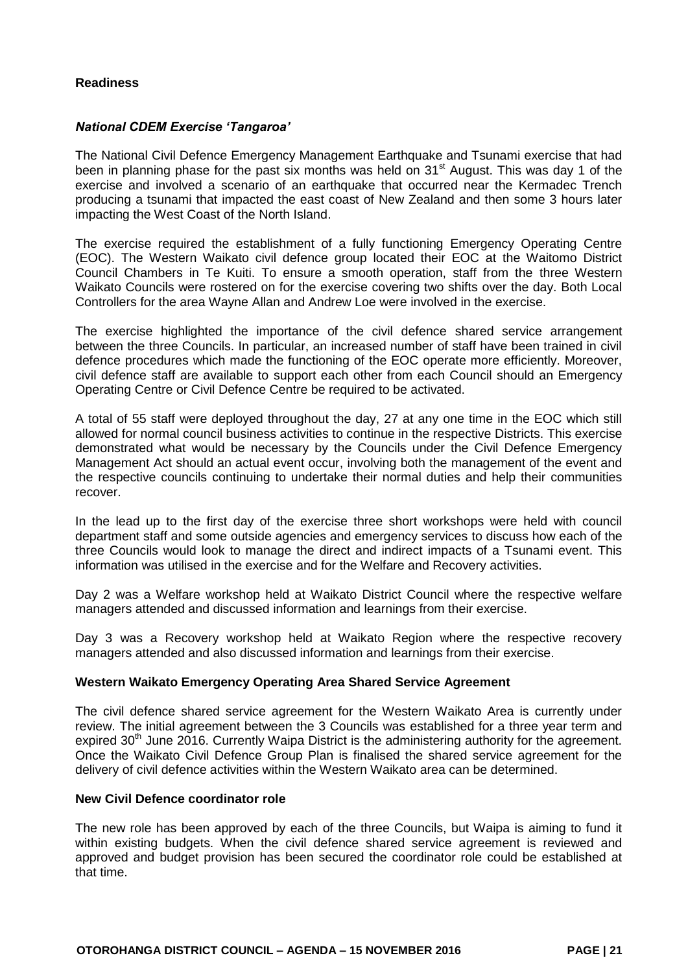# **Readiness**

#### *National CDEM Exercise 'Tangaroa'*

The National Civil Defence Emergency Management Earthquake and Tsunami exercise that had been in planning phase for the past six months was held on  $31<sup>st</sup>$  August. This was day 1 of the exercise and involved a scenario of an earthquake that occurred near the Kermadec Trench producing a tsunami that impacted the east coast of New Zealand and then some 3 hours later impacting the West Coast of the North Island.

The exercise required the establishment of a fully functioning Emergency Operating Centre (EOC). The Western Waikato civil defence group located their EOC at the Waitomo District Council Chambers in Te Kuiti. To ensure a smooth operation, staff from the three Western Waikato Councils were rostered on for the exercise covering two shifts over the day. Both Local Controllers for the area Wayne Allan and Andrew Loe were involved in the exercise.

The exercise highlighted the importance of the civil defence shared service arrangement between the three Councils. In particular, an increased number of staff have been trained in civil defence procedures which made the functioning of the EOC operate more efficiently. Moreover, civil defence staff are available to support each other from each Council should an Emergency Operating Centre or Civil Defence Centre be required to be activated.

A total of 55 staff were deployed throughout the day, 27 at any one time in the EOC which still allowed for normal council business activities to continue in the respective Districts. This exercise demonstrated what would be necessary by the Councils under the Civil Defence Emergency Management Act should an actual event occur, involving both the management of the event and the respective councils continuing to undertake their normal duties and help their communities recover.

In the lead up to the first day of the exercise three short workshops were held with council department staff and some outside agencies and emergency services to discuss how each of the three Councils would look to manage the direct and indirect impacts of a Tsunami event. This information was utilised in the exercise and for the Welfare and Recovery activities.

Day 2 was a Welfare workshop held at Waikato District Council where the respective welfare managers attended and discussed information and learnings from their exercise.

Day 3 was a Recovery workshop held at Waikato Region where the respective recovery managers attended and also discussed information and learnings from their exercise.

#### **Western Waikato Emergency Operating Area Shared Service Agreement**

The civil defence shared service agreement for the Western Waikato Area is currently under review. The initial agreement between the 3 Councils was established for a three year term and expired 30<sup>th</sup> June 2016. Currently Waipa District is the administering authority for the agreement. Once the Waikato Civil Defence Group Plan is finalised the shared service agreement for the delivery of civil defence activities within the Western Waikato area can be determined.

#### **New Civil Defence coordinator role**

The new role has been approved by each of the three Councils, but Waipa is aiming to fund it within existing budgets. When the civil defence shared service agreement is reviewed and approved and budget provision has been secured the coordinator role could be established at that time.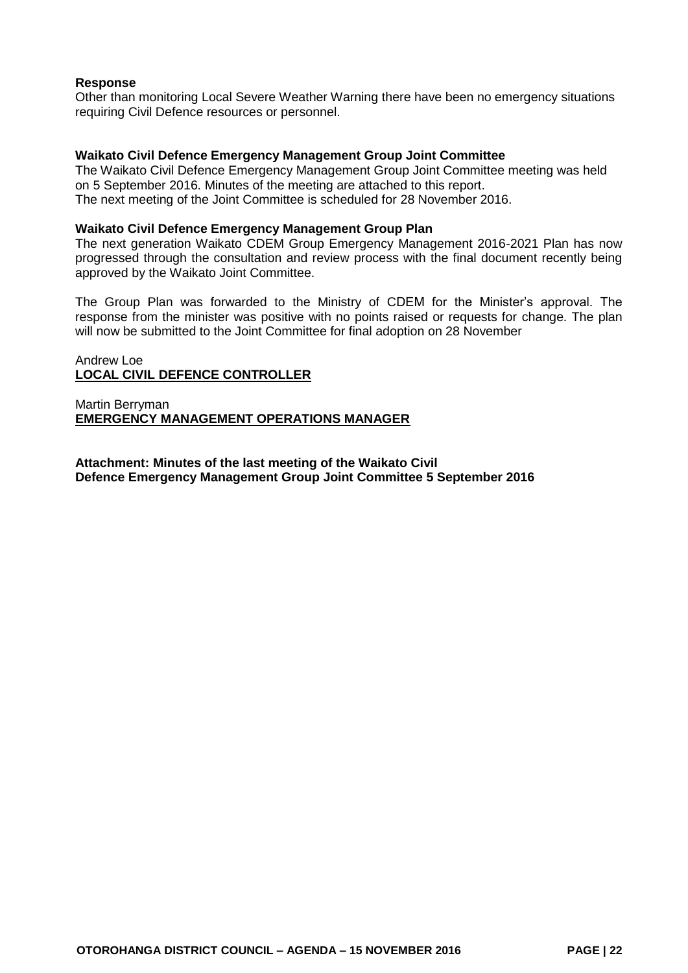#### **Response**

Other than monitoring Local Severe Weather Warning there have been no emergency situations requiring Civil Defence resources or personnel.

#### **Waikato Civil Defence Emergency Management Group Joint Committee**

The Waikato Civil Defence Emergency Management Group Joint Committee meeting was held on 5 September 2016. Minutes of the meeting are attached to this report. The next meeting of the Joint Committee is scheduled for 28 November 2016.

#### **Waikato Civil Defence Emergency Management Group Plan**

The next generation Waikato CDEM Group Emergency Management 2016-2021 Plan has now progressed through the consultation and review process with the final document recently being approved by the Waikato Joint Committee.

The Group Plan was forwarded to the Ministry of CDEM for the Minister's approval. The response from the minister was positive with no points raised or requests for change. The plan will now be submitted to the Joint Committee for final adoption on 28 November

#### Andrew Loe **LOCAL CIVIL DEFENCE CONTROLLER**

Martin Berryman **EMERGENCY MANAGEMENT OPERATIONS MANAGER**

**Attachment: Minutes of the last meeting of the Waikato Civil Defence Emergency Management Group Joint Committee 5 September 2016**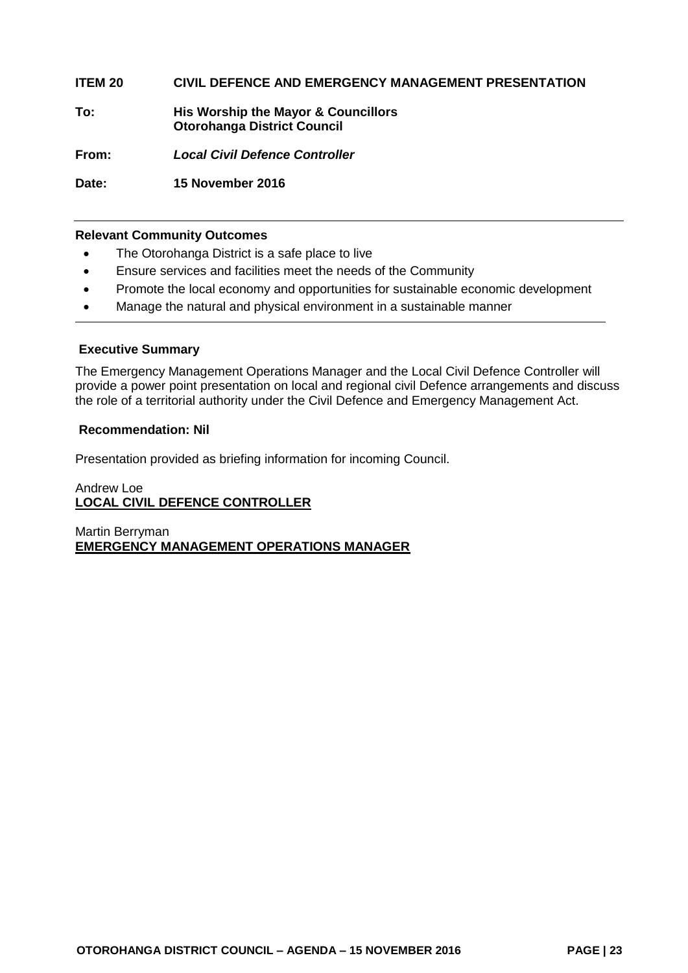# **ITEM 20 CIVIL DEFENCE AND EMERGENCY MANAGEMENT PRESENTATION**

**To: His Worship the Mayor & Councillors Otorohanga District Council**

**From:** *Local Civil Defence Controller*

**Date: 15 November 2016**

#### **Relevant Community Outcomes**

- The Otorohanga District is a safe place to live
- Ensure services and facilities meet the needs of the Community
- Promote the local economy and opportunities for sustainable economic development
- Manage the natural and physical environment in a sustainable manner

#### **Executive Summary**

The Emergency Management Operations Manager and the Local Civil Defence Controller will provide a power point presentation on local and regional civil Defence arrangements and discuss the role of a territorial authority under the Civil Defence and Emergency Management Act.

#### **Recommendation: Nil**

Presentation provided as briefing information for incoming Council.

# Andrew Loe **LOCAL CIVIL DEFENCE CONTROLLER**

Martin Berryman **EMERGENCY MANAGEMENT OPERATIONS MANAGER**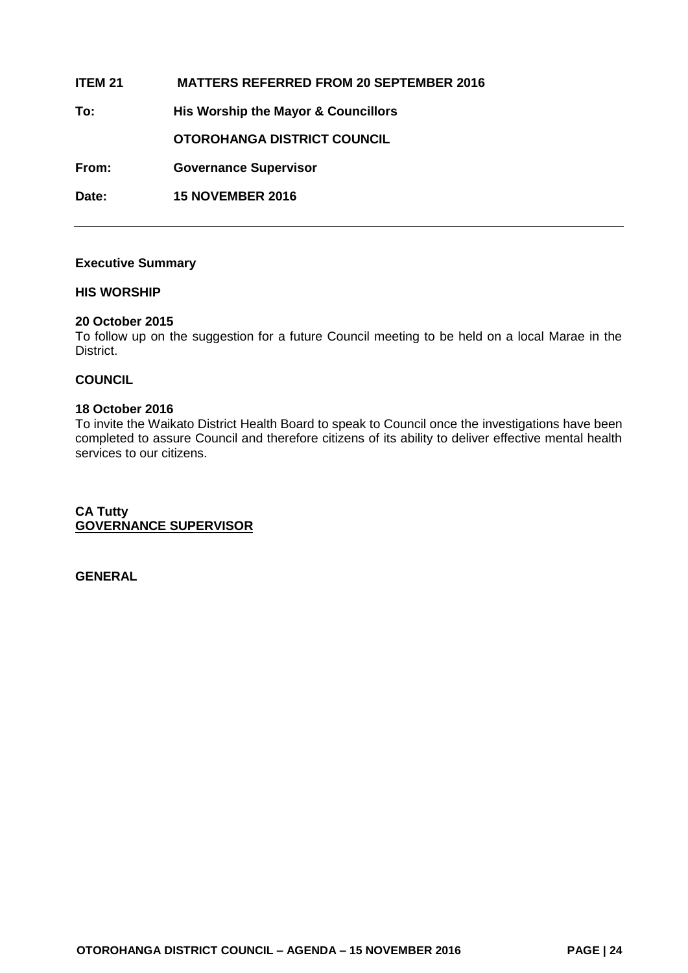| ITEM 21 | <b>MATTERS REFERRED FROM 20 SEPTEMBER 2016</b> |
|---------|------------------------------------------------|
| To:     | His Worship the Mayor & Councillors            |
|         | OTOROHANGA DISTRICT COUNCIL                    |
| From:   | <b>Governance Supervisor</b>                   |
| Date:   | <b>15 NOVEMBER 2016</b>                        |

#### **Executive Summary**

#### **HIS WORSHIP**

#### **20 October 2015**

To follow up on the suggestion for a future Council meeting to be held on a local Marae in the District.

#### **COUNCIL**

#### **18 October 2016**

To invite the Waikato District Health Board to speak to Council once the investigations have been completed to assure Council and therefore citizens of its ability to deliver effective mental health services to our citizens.

**CA Tutty GOVERNANCE SUPERVISOR**

**GENERAL**